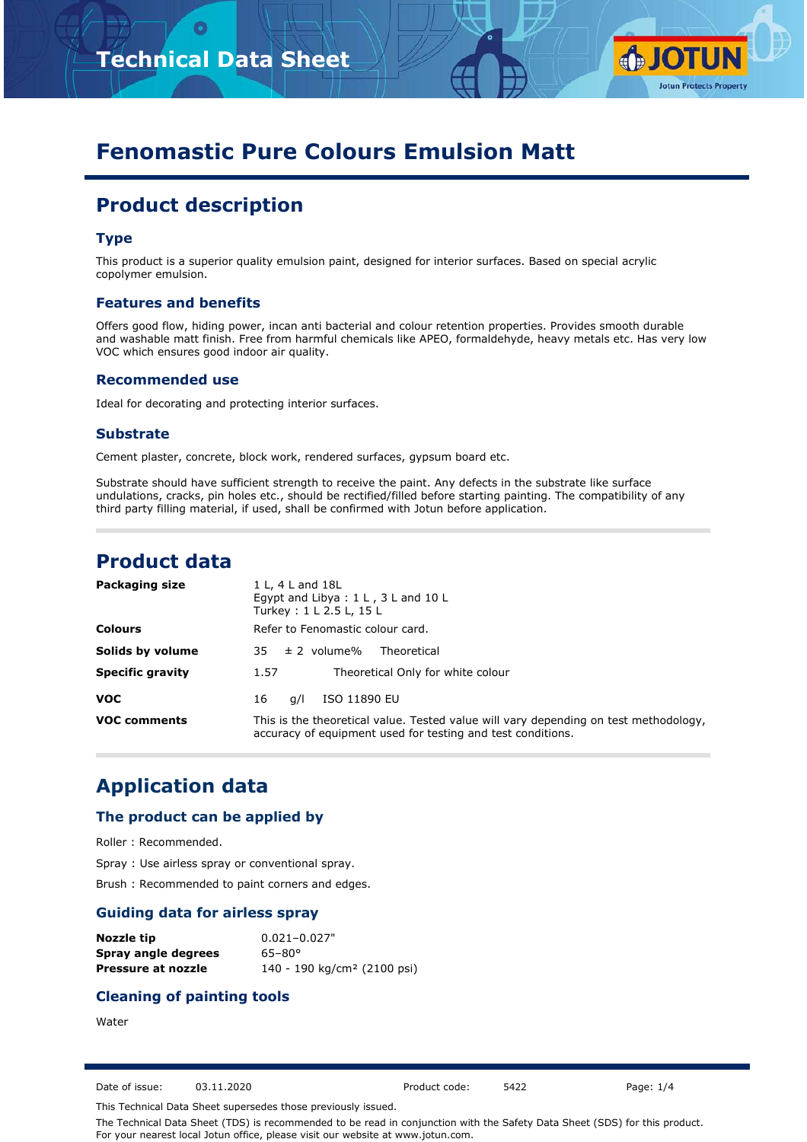



# **Fenomastic Pure Colours Emulsion Matt**

# **Product description**

### **Type**

This product is a superior quality emulsion paint, designed for interior surfaces. Based on special acrylic copolymer emulsion.

#### **Features and benefits**

Offers good flow, hiding power, incan anti bacterial and colour retention properties. Provides smooth durable and washable matt finish. Free from harmful chemicals like APEO, formaldehyde, heavy metals etc. Has very low VOC which ensures good indoor air quality.

#### **Recommended use**

Ideal for decorating and protecting interior surfaces.

#### **Substrate**

Cement plaster, concrete, block work, rendered surfaces, gypsum board etc.

Substrate should have sufficient strength to receive the paint. Any defects in the substrate like surface undulations, cracks, pin holes etc., should be rectified/filled before starting painting. The compatibility of any third party filling material, if used, shall be confirmed with Jotun before application.

## **Product data**

| Packaging size          | 1 L, 4 L and 18L<br>Egypt and Libya : $1 L$ , $3 L$ and $10 L$<br>Turkey: 1 L 2.5 L, 15 L                                                           |  |  |
|-------------------------|-----------------------------------------------------------------------------------------------------------------------------------------------------|--|--|
| <b>Colours</b>          | Refer to Fenomastic colour card.                                                                                                                    |  |  |
| Solids by volume        | $35 \pm 2$ volume%<br>Theoretical                                                                                                                   |  |  |
| <b>Specific gravity</b> | Theoretical Only for white colour<br>1.57                                                                                                           |  |  |
| <b>VOC</b>              | ISO 11890 EU<br>16<br>a/l                                                                                                                           |  |  |
| <b>VOC comments</b>     | This is the theoretical value. Tested value will vary depending on test methodology,<br>accuracy of equipment used for testing and test conditions. |  |  |

## **Application data**

### **The product can be applied by**

Roller : Recommended.

Spray : Use airless spray or conventional spray.

Brush : Recommended to paint corners and edges.

### **Guiding data for airless spray**

| Nozzle tip          | $0.021 - 0.027$ "                       |
|---------------------|-----------------------------------------|
| Spray angle degrees | $65 - 80^{\circ}$                       |
| Pressure at nozzle  | 140 - 190 kg/cm <sup>2</sup> (2100 psi) |

## **Cleaning of painting tools**

**Water** 

Date of issue: 03.11.2020 Product code: 5422 Page: 1/4

This Technical Data Sheet supersedes those previously issued.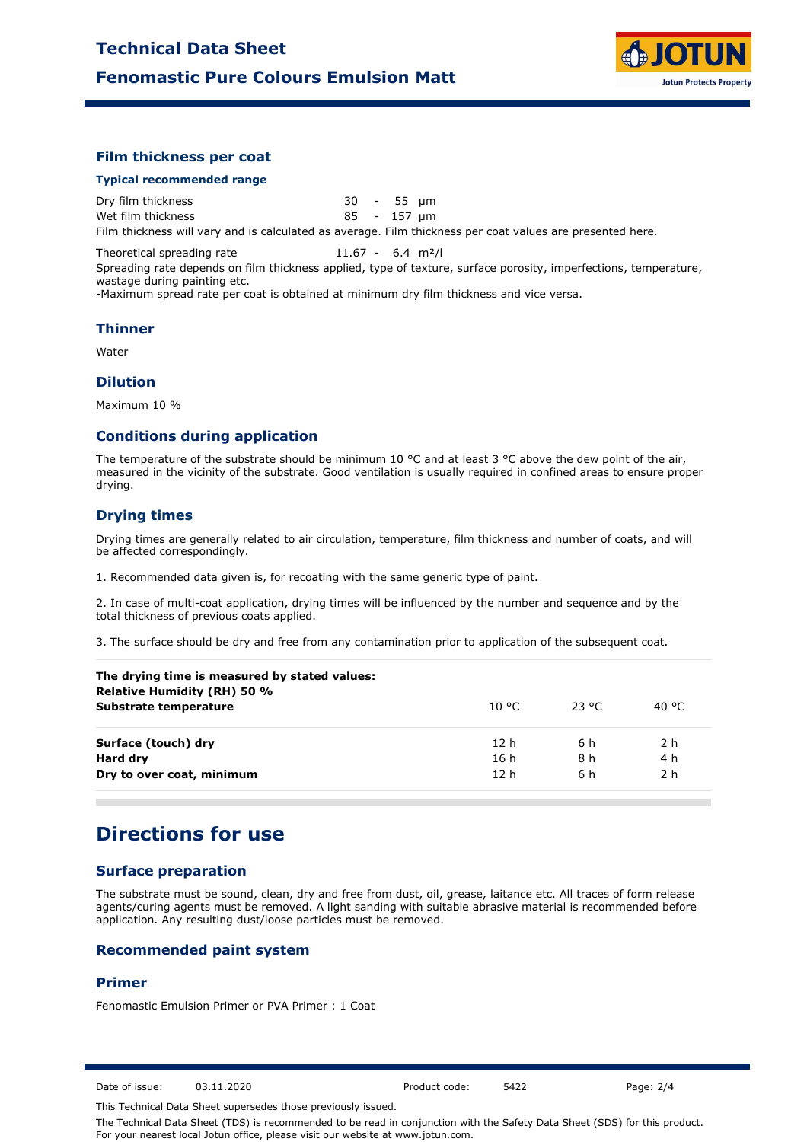

### **Film thickness per coat**

#### **Typical recommended range**

Dry film thickness 30 - 55 µm Wet film thickness 85 - 157 µm Film thickness will vary and is calculated as average. Film thickness per coat values are presented here.

Theoretical spreading rate 11.67 - 6.4 m<sup>2</sup>/l Spreading rate depends on film thickness applied, type of texture, surface porosity, imperfections, temperature, wastage during painting etc. -Maximum spread rate per coat is obtained at minimum dry film thickness and vice versa.

#### **Thinner**

Water

### **Dilution**

Maximum 10 %

### **Conditions during application**

The temperature of the substrate should be minimum 10 °C and at least 3 °C above the dew point of the air, measured in the vicinity of the substrate. Good ventilation is usually required in confined areas to ensure proper drying.

### **Drying times**

Drying times are generally related to air circulation, temperature, film thickness and number of coats, and will be affected correspondingly.

1. Recommended data given is, for recoating with the same generic type of paint.

2. In case of multi-coat application, drying times will be influenced by the number and sequence and by the total thickness of previous coats applied.

3. The surface should be dry and free from any contamination prior to application of the subsequent coat.

| The drying time is measured by stated values:<br>Relative Humidity (RH) 50 % |                 |          |        |  |
|------------------------------------------------------------------------------|-----------------|----------|--------|--|
| Substrate temperature                                                        | 10 °C.          | - 23 °C. | 40 °C. |  |
| Surface (touch) dry                                                          | 12 h            | 6 h      | 2 h    |  |
| Hard dry                                                                     | 16 h            | 8 h      | 4 h    |  |
| Dry to over coat, minimum                                                    | 12 <sub>h</sub> | 6 h      | 2 h    |  |

# **Directions for use**

### **Surface preparation**

The substrate must be sound, clean, dry and free from dust, oil, grease, laitance etc. All traces of form release agents/curing agents must be removed. A light sanding with suitable abrasive material is recommended before application. Any resulting dust/loose particles must be removed.

## **Recommended paint system**

### **Primer**

Fenomastic Emulsion Primer or PVA Primer : 1 Coat

Date of issue: 03.11.2020 Product code: 5422 Page: 2/4

This Technical Data Sheet supersedes those previously issued.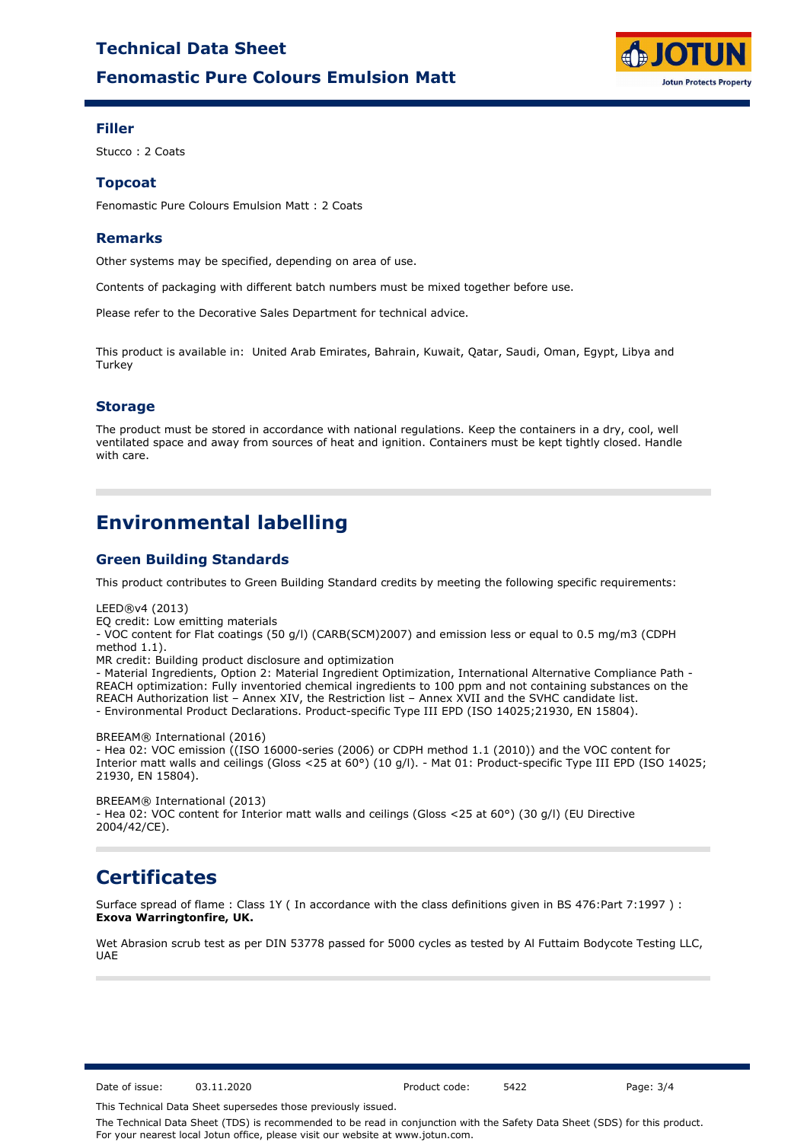# **Fenomastic Pure Colours Emulsion Matt Technical Data Sheet**



### **Filler**

Stucco : 2 Coats

### **Topcoat**

Fenomastic Pure Colours Emulsion Matt : 2 Coats

### **Remarks**

Other systems may be specified, depending on area of use.

Contents of packaging with different batch numbers must be mixed together before use.

Please refer to the Decorative Sales Department for technical advice.

This product is available in: United Arab Emirates, Bahrain, Kuwait, Qatar, Saudi, Oman, Egypt, Libya and **Turkey** 

## **Storage**

The product must be stored in accordance with national regulations. Keep the containers in a dry, cool, well ventilated space and away from sources of heat and ignition. Containers must be kept tightly closed. Handle with care.

# **Environmental labelling**

## **Green Building Standards**

This product contributes to Green Building Standard credits by meeting the following specific requirements:

LEED®v4 (2013)

EQ credit: Low emitting materials

- VOC content for Flat coatings (50 g/l) (CARB(SCM)2007) and emission less or equal to 0.5 mg/m3 (CDPH method 1.1).

MR credit: Building product disclosure and optimization

- Material Ingredients, Option 2: Material Ingredient Optimization, International Alternative Compliance Path - REACH optimization: Fully inventoried chemical ingredients to 100 ppm and not containing substances on the REACH Authorization list – Annex XIV, the Restriction list – Annex XVII and the SVHC candidate list. - Environmental Product Declarations. Product-specific Type III EPD (ISO 14025;21930, EN 15804).

BREEAM® International (2016)

- Hea 02: VOC emission ((ISO 16000-series (2006) or CDPH method 1.1 (2010)) and the VOC content for Interior matt walls and ceilings (Gloss <25 at 60°) (10 g/l). - Mat 01: Product-specific Type III EPD (ISO 14025; 21930, EN 15804).

BREEAM® International (2013) - Hea 02: VOC content for Interior matt walls and ceilings (Gloss <25 at 60°) (30 g/l) (EU Directive 2004/42/CE).

# **Certificates**

Surface spread of flame : Class 1Y ( In accordance with the class definitions given in BS 476:Part 7:1997 ) : **Exova Warringtonfire, UK.**

Wet Abrasion scrub test as per DIN 53778 passed for 5000 cycles as tested by Al Futtaim Bodycote Testing LLC, UAE

Date of issue: 03.11.2020 Product code: 5422 Page: 3/4

This Technical Data Sheet supersedes those previously issued.